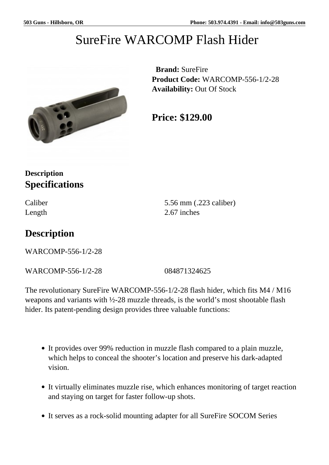# SureFire WARCOMP Flash Hider



 **Brand:** SureFire **Product Code:** WARCOMP-556-1/2-28 **Availability:** Out Of Stock

**Price: \$129.00**

#### **Description Specifications**

Caliber 5.56 mm (.223 caliber) Length 2.67 inches

## **Description**

WARCOMP-556-1/2-28

WARCOMP-556-1/2-28 084871324625

The revolutionary SureFire WARCOMP-556-1/2-28 flash hider, which fits M4 / M16 weapons and variants with  $\frac{1}{2}$ -28 muzzle threads, is the world's most shootable flash hider. Its patent-pending design provides three valuable functions:

- It provides over 99% reduction in muzzle flash compared to a plain muzzle, which helps to conceal the shooter's location and preserve his dark-adapted vision.
- It virtually eliminates muzzle rise, which enhances monitoring of target reaction and staying on target for faster follow-up shots.
- It serves as a rock-solid mounting adapter for all SureFire SOCOM Series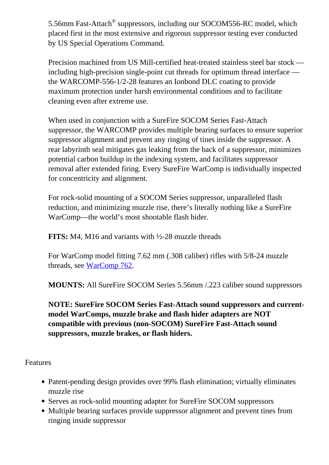5.56mm Fast-Attach<sup>®</sup> suppressors, including our SOCOM556-RC model, which placed first in the most extensive and rigorous suppressor testing ever conducted by US Special Operations Command.

Precision machined from US Mill-certified heat-treated stainless steel bar stock including high-precision single-point cut threads for optimum thread interface the WARCOMP-556-1/2-28 features an Ionbond DLC coating to provide maximum protection under harsh environmental conditions and to facilitate cleaning even after extreme use.

When used in conjunction with a SureFire SOCOM Series Fast-Attach suppressor, the WARCOMP provides multiple bearing surfaces to ensure superior suppressor alignment and prevent any ringing of tines inside the suppressor. A rear labyrinth seal mitigates gas leaking from the back of a suppressor, minimizes potential carbon buildup in the indexing system, and facilitates suppressor removal after extended firing. Every SureFire WarComp is individually inspected for concentricity and alignment.

For rock-solid mounting of a SOCOM Series suppressor, unparalleled flash reduction, and minimizing muzzle rise, there's literally nothing like a SureFire WarComp—the world's most shootable flash hider.

**FITS:** M4, M16 and variants with ½-28 muzzle threads

For WarComp model fitting 7.62 mm (.308 caliber) rifles with 5/8-24 muzzle threads, see [WarComp 762.](https://www.surefire.com/warcomp-762-5-8-24.html)

**MOUNTS:** All SureFire SOCOM Series 5.56mm /.223 caliber sound suppressors

**NOTE: SureFire SOCOM Series Fast-Attach sound suppressors and currentmodel WarComps, muzzle brake and flash hider adapters are NOT compatible with previous (non-SOCOM) SureFire Fast-Attach sound suppressors, muzzle brakes, or flash hiders.** 

Features

- Patent-pending design provides over 99% flash elimination; virtually eliminates muzzle rise
- Serves as rock-solid mounting adapter for SureFire SOCOM suppressors
- Multiple bearing surfaces provide suppressor alignment and prevent tines from ringing inside suppressor